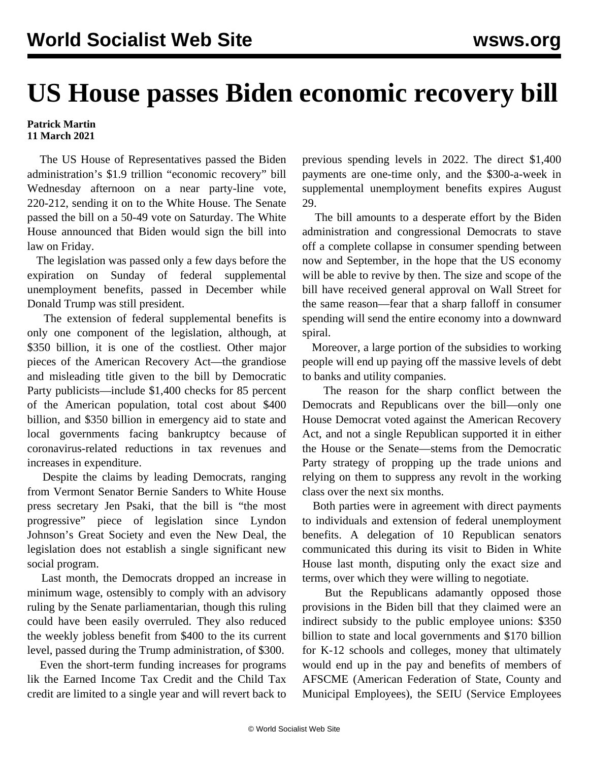## **US House passes Biden economic recovery bill**

## **Patrick Martin 11 March 2021**

 The US House of Representatives passed the Biden administration's \$1.9 trillion "economic recovery" bill Wednesday afternoon on a near party-line vote, 220-212, sending it on to the White House. The Senate passed the bill on a 50-49 vote on Saturday. The White House announced that Biden would sign the bill into law on Friday.

 The legislation was passed only a few days before the expiration on Sunday of federal supplemental unemployment benefits, passed in December while Donald Trump was still president.

 The extension of federal supplemental benefits is only one component of the legislation, although, at \$350 billion, it is one of the costliest. Other major pieces of the American Recovery Act—the grandiose and misleading title given to the bill by Democratic Party publicists—include \$1,400 checks for 85 percent of the American population, total cost about \$400 billion, and \$350 billion in emergency aid to state and local governments facing bankruptcy because of coronavirus-related reductions in tax revenues and increases in expenditure.

 Despite the claims by leading Democrats, ranging from Vermont Senator Bernie Sanders to White House press secretary Jen Psaki, that the bill is "the most progressive" piece of legislation since Lyndon Johnson's Great Society and even the New Deal, the legislation does not establish a single significant new social program.

 Last month, the Democrats dropped an increase in minimum wage, ostensibly to comply with an advisory ruling by the Senate parliamentarian, though this ruling could have been easily overruled. They also reduced the weekly jobless benefit from \$400 to the its current level, passed during the Trump administration, of \$300.

 Even the short-term funding increases for programs lik the Earned Income Tax Credit and the Child Tax credit are limited to a single year and will revert back to previous spending levels in 2022. The direct \$1,400 payments are one-time only, and the \$300-a-week in supplemental unemployment benefits expires August 29.

 The bill amounts to a desperate effort by the Biden administration and congressional Democrats to stave off a complete collapse in consumer spending between now and September, in the hope that the US economy will be able to revive by then. The size and scope of the bill have received general approval on Wall Street for the same reason—fear that a sharp falloff in consumer spending will send the entire economy into a downward spiral.

 Moreover, a large portion of the subsidies to working people will end up paying off the massive levels of debt to banks and utility companies.

 The reason for the sharp conflict between the Democrats and Republicans over the bill—only one House Democrat voted against the American Recovery Act, and not a single Republican supported it in either the House or the Senate—stems from the Democratic Party strategy of propping up the trade unions and relying on them to suppress any revolt in the working class over the next six months.

 Both parties were in agreement with direct payments to individuals and extension of federal unemployment benefits. A delegation of 10 Republican senators communicated this during its visit to Biden in White House last month, disputing only the exact size and terms, over which they were willing to negotiate.

 But the Republicans adamantly opposed those provisions in the Biden bill that they claimed were an indirect subsidy to the public employee unions: \$350 billion to state and local governments and \$170 billion for K-12 schools and colleges, money that ultimately would end up in the pay and benefits of members of AFSCME (American Federation of State, County and Municipal Employees), the SEIU (Service Employees